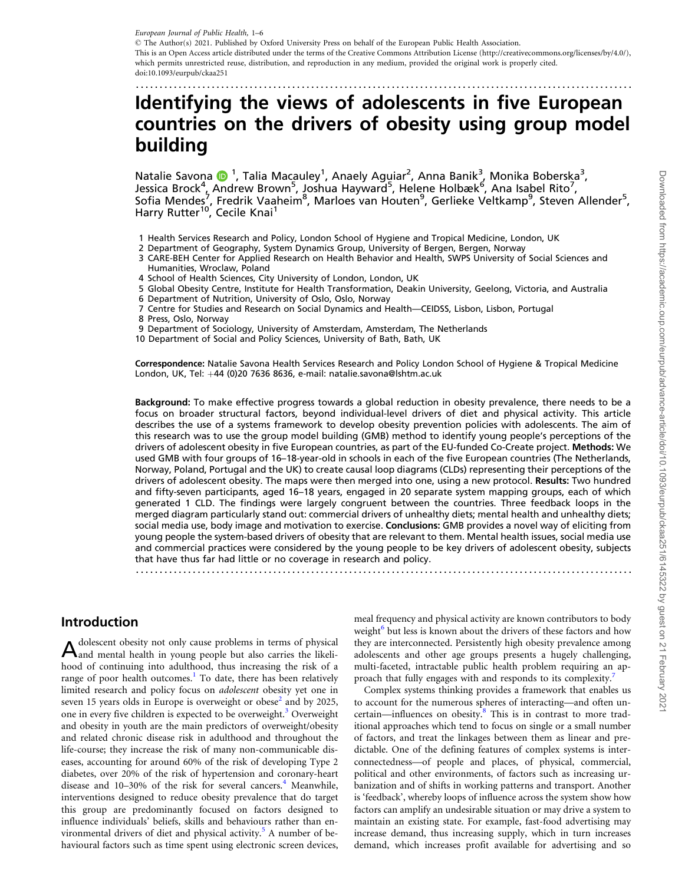<span id="page-0-0"></span>.........................................................................................................

# Identifying the views of adolescents in five European countries on the drivers of obesity using group model building

Natalie Savona (D<sup>1</sup>, Talia Macauley<sup>1</sup>, Anaely Aguiar<sup>2</sup>, Anna Banik<sup>3</sup>, Monika Boberska<sup>3</sup>, Jessica Brock<sup>4</sup>, Andrew Brown<sup>5</sup>, Joshua Hayward<sup>5</sup>, Helene Holbæk<sup>6</sup>, Ana Isabel Rito<sup>7</sup>, Sofia Mendes<sup>7</sup>, Fredrik Vaaheim<sup>8</sup>, Marloes van Houten<sup>9</sup>, Gerlieke Veltkamp<sup>9</sup>, Steven Allender<sup>5</sup>, Harry Rutter<sup>10</sup>, Cecile Knai<sup>1</sup>

- 1 Health Services Research and Policy, London School of Hygiene and Tropical Medicine, London, UK
- 2 Department of Geography, System Dynamics Group, University of Bergen, Bergen, Norway
- 3 CARE-BEH Center for Applied Research on Health Behavior and Health, SWPS University of Social Sciences and Humanities, Wroclaw, Poland
- 4 School of Health Sciences, City University of London, London, UK
- 5 Global Obesity Centre, Institute for Health Transformation, Deakin University, Geelong, Victoria, and Australia 6 Department of Nutrition, University of Oslo, Oslo, Norway
- 7 Centre for Studies and Research on Social Dynamics and Health—CEIDSS, Lisbon, Lisbon, Portugal
- 8 Press, Oslo, Norway
- 9 Department of Sociology, University of Amsterdam, Amsterdam, The Netherlands

10 Department of Social and Policy Sciences, University of Bath, Bath, UK

Correspondence: Natalie Savona Health Services Research and Policy London School of Hygiene & Tropical Medicine London, UK, Tel:  $+44$  (0)20 7636 8636, e-mail: natalie.savona@lshtm.ac.uk

Background: To make effective progress towards a global reduction in obesity prevalence, there needs to be a focus on broader structural factors, beyond individual-level drivers of diet and physical activity. This article describes the use of a systems framework to develop obesity prevention policies with adolescents. The aim of this research was to use the group model building (GMB) method to identify young people's perceptions of the drivers of adolescent obesity in five European countries, as part of the EU-funded Co-Create project. Methods: We used GMB with four groups of 16–18-year-old in schools in each of the five European countries (The Netherlands, Norway, Poland, Portugal and the UK) to create causal loop diagrams (CLDs) representing their perceptions of the drivers of adolescent obesity. The maps were then merged into one, using a new protocol. Results: Two hundred and fifty-seven participants, aged 16–18 years, engaged in 20 separate system mapping groups, each of which generated 1 CLD. The findings were largely congruent between the countries. Three feedback loops in the merged diagram particularly stand out: commercial drivers of unhealthy diets; mental health and unhealthy diets; social media use, body image and motivation to exercise. Conclusions: GMB provides a novel way of eliciting from young people the system-based drivers of obesity that are relevant to them. Mental health issues, social media use and commercial practices were considered by the young people to be key drivers of adolescent obesity, subjects that have thus far had little or no coverage in research and policy.

.........................................................................................................

## Introduction

Adolescent obesity not only cause problems in terms of physical and mental health in young people but also carries the likelihood of continuing into adulthood, thus increasing the risk of a range of poor health outcomes.<sup>1</sup> To date, there has been relatively limited research and policy focus on adolescent obesity yet one in seven 15 years olds in Europe is overweight or obese $<sup>2</sup>$  $<sup>2</sup>$  $<sup>2</sup>$  and by 2025,</sup> one in every five children is expected to be overweight.<sup>[3](#page-4-0)</sup> Overweight and obesity in youth are the main predictors of overweight/obesity and related chronic disease risk in adulthood and throughout the life-course; they increase the risk of many non-communicable diseases, accounting for around 60% of the risk of developing Type 2 diabetes, over 20% of the risk of hypertension and coronary-heart disease and 10–30% of the risk for several cancers.<sup>[4](#page-4-0)</sup> Meanwhile, interventions designed to reduce obesity prevalence that do target this group are predominantly focused on factors designed to influence individuals' beliefs, skills and behaviours rather than en-vironmental drivers of diet and physical activity.<sup>[5](#page-5-0)</sup> A number of behavioural factors such as time spent using electronic screen devices,

meal frequency and physical activity are known contributors to body weight<sup>[6](#page-5-0)</sup> but less is known about the drivers of these factors and how they are interconnected. Persistently high obesity prevalence among adolescents and other age groups presents a hugely challenging, multi-faceted, intractable public health problem requiring an ap-proach that fully engages with and responds to its complexity.<sup>[7](#page-5-0)</sup>

Complex systems thinking provides a framework that enables us to account for the numerous spheres of interacting—and often un-certain—influences on obesity.<sup>[8](#page-5-0)</sup> This is in contrast to more traditional approaches which tend to focus on single or a small number of factors, and treat the linkages between them as linear and predictable. One of the defining features of complex systems is interconnectedness—of people and places, of physical, commercial, political and other environments, of factors such as increasing urbanization and of shifts in working patterns and transport. Another is 'feedback', whereby loops of influence across the system show how factors can amplify an undesirable situation or may drive a system to maintain an existing state. For example, fast-food advertising may increase demand, thus increasing supply, which in turn increases demand, which increases profit available for advertising and so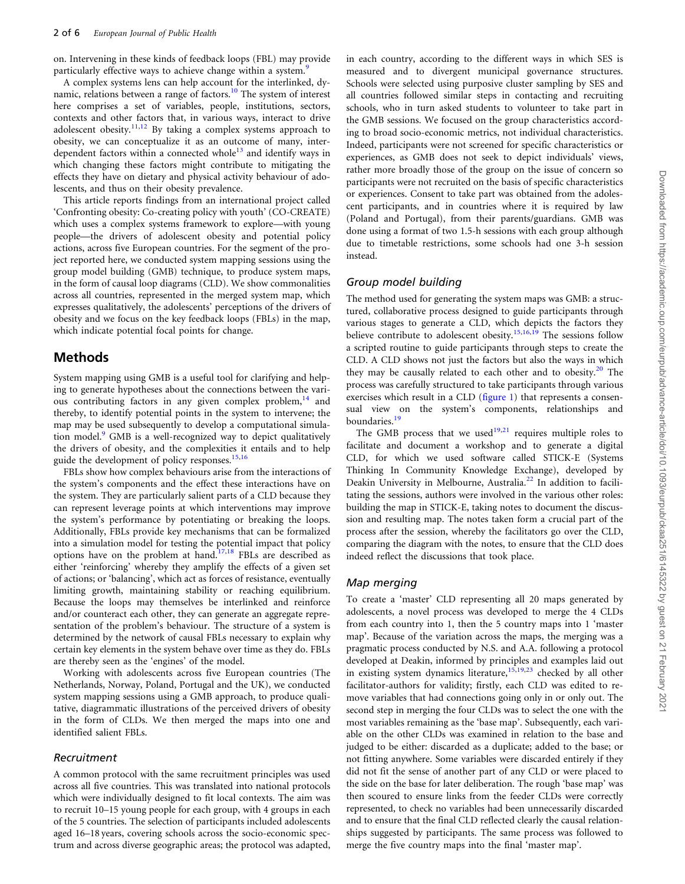<span id="page-1-0"></span>on. Intervening in these kinds of feedback loops (FBL) may provide particularly effective ways to achieve change within a system.<sup>[9](#page-5-0)</sup>

A complex systems lens can help account for the interlinked, dynamic, relations between a range of factors.<sup>10</sup> The system of interest here comprises a set of variables, people, institutions, sectors, contexts and other factors that, in various ways, interact to drive adolescent obesity.<sup>[11,12](#page-5-0)</sup> By taking a complex systems approach to obesity, we can conceptualize it as an outcome of many, interdependent factors within a connected whole<sup>13</sup> and identify ways in which changing these factors might contribute to mitigating the effects they have on dietary and physical activity behaviour of adolescents, and thus on their obesity prevalence.

This article reports findings from an international project called 'Confronting obesity: Co-creating policy with youth' (CO-CREATE) which uses a complex systems framework to explore—with young people—the drivers of adolescent obesity and potential policy actions, across five European countries. For the segment of the project reported here, we conducted system mapping sessions using the group model building (GMB) technique, to produce system maps, in the form of causal loop diagrams (CLD). We show commonalities across all countries, represented in the merged system map, which expresses qualitatively, the adolescents' perceptions of the drivers of obesity and we focus on the key feedback loops (FBLs) in the map, which indicate potential focal points for change.

#### Methods

System mapping using GMB is a useful tool for clarifying and helping to generate hypotheses about the connections between the various contributing factors in any given complex problem, $14$  and thereby, to identify potential points in the system to intervene; the map may be used subsequently to develop a computational simula-tion model.<sup>[9](#page-5-0)</sup> GMB is a well-recognized way to depict qualitatively the drivers of obesity, and the complexities it entails and to help guide the development of policy responses.<sup>15,16</sup>

FBLs show how complex behaviours arise from the interactions of the system's components and the effect these interactions have on the system. They are particularly salient parts of a CLD because they can represent leverage points at which interventions may improve the system's performance by potentiating or breaking the loops. Additionally, FBLs provide key mechanisms that can be formalized into a simulation model for testing the potential impact that policy options have on the problem at hand.[17](#page-5-0),[18](#page-5-0) FBLs are described as either 'reinforcing' whereby they amplify the effects of a given set of actions; or 'balancing', which act as forces of resistance, eventually limiting growth, maintaining stability or reaching equilibrium. Because the loops may themselves be interlinked and reinforce and/or counteract each other, they can generate an aggregate representation of the problem's behaviour. The structure of a system is determined by the network of causal FBLs necessary to explain why certain key elements in the system behave over time as they do. FBLs are thereby seen as the 'engines' of the model.

Working with adolescents across five European countries (The Netherlands, Norway, Poland, Portugal and the UK), we conducted system mapping sessions using a GMB approach, to produce qualitative, diagrammatic illustrations of the perceived drivers of obesity in the form of CLDs. We then merged the maps into one and identified salient FBLs.

#### Recruitment

A common protocol with the same recruitment principles was used across all five countries. This was translated into national protocols which were individually designed to fit local contexts. The aim was to recruit 10–15 young people for each group, with 4 groups in each of the 5 countries. The selection of participants included adolescents aged 16–18 years, covering schools across the socio-economic spectrum and across diverse geographic areas; the protocol was adapted,

in each country, according to the different ways in which SES is measured and to divergent municipal governance structures. Schools were selected using purposive cluster sampling by SES and all countries followed similar steps in contacting and recruiting schools, who in turn asked students to volunteer to take part in the GMB sessions. We focused on the group characteristics according to broad socio-economic metrics, not individual characteristics. Indeed, participants were not screened for specific characteristics or experiences, as GMB does not seek to depict individuals' views, rather more broadly those of the group on the issue of concern so participants were not recruited on the basis of specific characteristics or experiences. Consent to take part was obtained from the adolescent participants, and in countries where it is required by law (Poland and Portugal), from their parents/guardians. GMB was done using a format of two 1.5-h sessions with each group although due to timetable restrictions, some schools had one 3-h session instead.

#### Group model building

The method used for generating the system maps was GMB: a structured, collaborative process designed to guide participants through various stages to generate a CLD, which depicts the factors they believe contribute to adolescent obesity.<sup>15,16,19</sup> The sessions follow a scripted routine to guide participants through steps to create the CLD. A CLD shows not just the factors but also the ways in which they may be causally related to each other and to obesity. $20$  The process was carefully structured to take participants through various exercises which result in a CLD [\(figure 1\)](#page-2-0) that represents a consensual view on the system's components, relationships and boundaries.<sup>[19](#page-5-0)</sup>

The GMB process that we used<sup>[19,21](#page-5-0)</sup> requires multiple roles to facilitate and document a workshop and to generate a digital CLD, for which we used software called STICK-E (Systems Thinking In Community Knowledge Exchange), developed by Deakin University in Melbourne, Australia.<sup>[22](#page-5-0)</sup> In addition to facilitating the sessions, authors were involved in the various other roles: building the map in STICK-E, taking notes to document the discussion and resulting map. The notes taken form a crucial part of the process after the session, whereby the facilitators go over the CLD, comparing the diagram with the notes, to ensure that the CLD does indeed reflect the discussions that took place.

#### Map merging

To create a 'master' CLD representing all 20 maps generated by adolescents, a novel process was developed to merge the 4 CLDs from each country into 1, then the 5 country maps into 1 'master map'. Because of the variation across the maps, the merging was a pragmatic process conducted by N.S. and A.A. following a protocol developed at Deakin, informed by principles and examples laid out in existing system dynamics literature,  $15,19,23$  checked by all other facilitator-authors for validity; firstly, each CLD was edited to remove variables that had connections going only in or only out. The second step in merging the four CLDs was to select the one with the most variables remaining as the 'base map'. Subsequently, each variable on the other CLDs was examined in relation to the base and judged to be either: discarded as a duplicate; added to the base; or not fitting anywhere. Some variables were discarded entirely if they did not fit the sense of another part of any CLD or were placed to the side on the base for later deliberation. The rough 'base map' was then scoured to ensure links from the feeder CLDs were correctly represented, to check no variables had been unnecessarily discarded and to ensure that the final CLD reflected clearly the causal relationships suggested by participants. The same process was followed to merge the five country maps into the final 'master map'.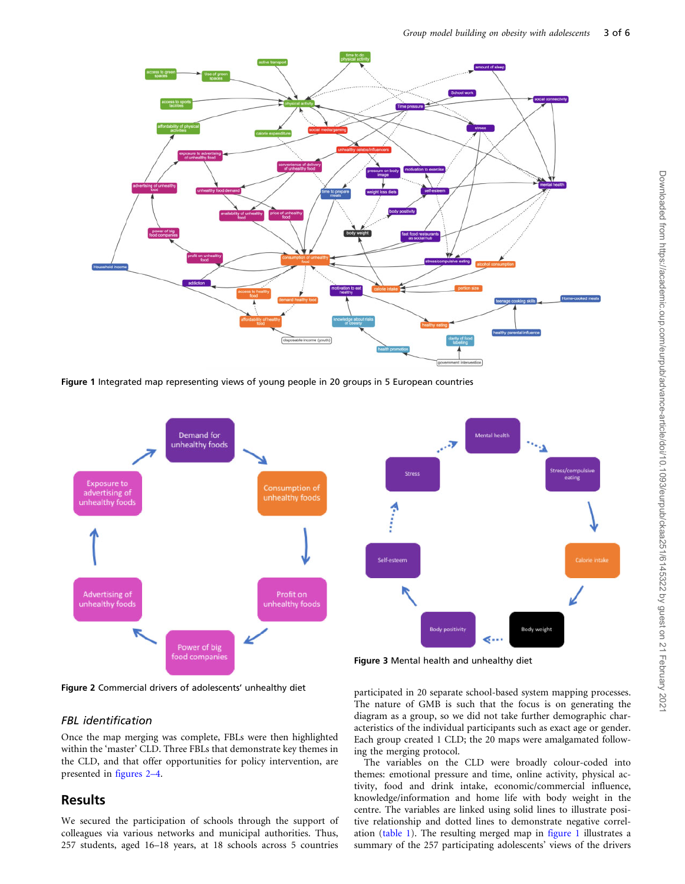<span id="page-2-0"></span>

Figure 1 Integrated map representing views of young people in 20 groups in 5 European countries



Figure 2 Commercial drivers of adolescents' unhealthy diet

#### FBL identification

Once the map merging was complete, FBLs were then highlighted within the 'master' CLD. Three FBLs that demonstrate key themes in the CLD, and that offer opportunities for policy intervention, are presented in figures 2–4.

## Results

We secured the participation of schools through the support of colleagues via various networks and municipal authorities. Thus, 257 students, aged 16–18 years, at 18 schools across 5 countries

participated in 20 separate school-based system mapping processes. The nature of GMB is such that the focus is on generating the diagram as a group, so we did not take further demographic characteristics of the individual participants such as exact age or gender. Each group created 1 CLD; the 20 maps were amalgamated following the merging protocol.

The variables on the CLD were broadly colour-coded into themes: emotional pressure and time, online activity, physical activity, food and drink intake, economic/commercial influence, knowledge/information and home life with body weight in the centre. The variables are linked using solid lines to illustrate positive relationship and dotted lines to demonstrate negative correlation [\(table 1](#page-3-0)). The resulting merged map in figure 1 illustrates a summary of the 257 participating adolescents' views of the drivers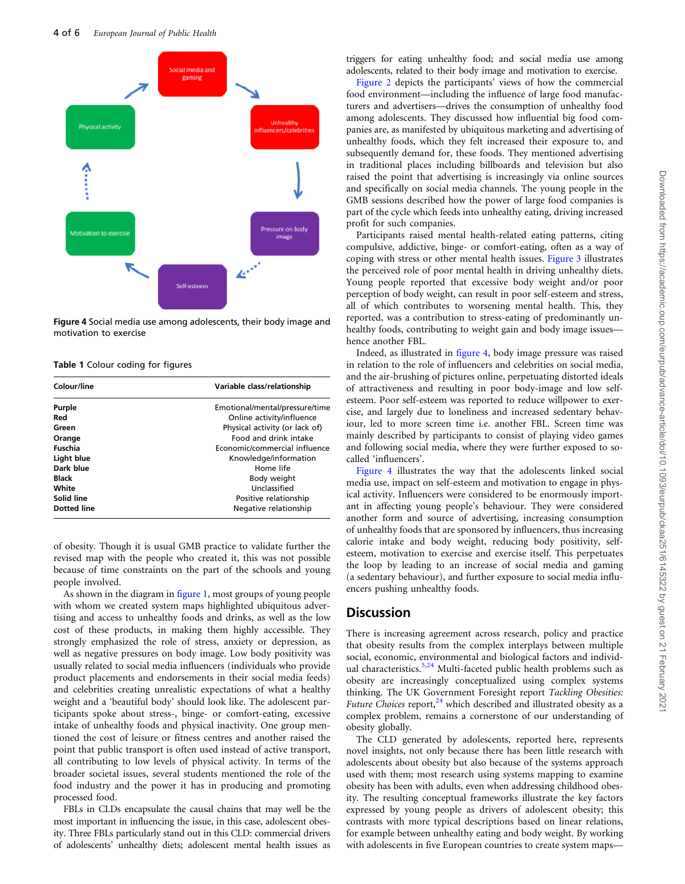<span id="page-3-0"></span>

Figure 4 Social media use among adolescents, their body image and motivation to exercise

Table 1 Colour coding for figures

| Colour/line        | Variable class/relationship    |
|--------------------|--------------------------------|
| Purple             | Emotional/mental/pressure/time |
| Red                | Online activity/influence      |
| Green              | Physical activity (or lack of) |
| Orange             | <b>Food and drink intake</b>   |
| Fuschia            | Economic/commercial influence  |
| Light blue         | Knowledge/information          |
| Dark blue          | Home life                      |
| Black              | Body weight                    |
| White              | Unclassified                   |
| Solid line         | Positive relationship          |
| <b>Dotted line</b> | Negative relationship          |

of obesity. Though it is usual GMB practice to validate further the revised map with the people who created it, this was not possible because of time constraints on the part of the schools and young people involved.

As shown in the diagram in [figure 1,](#page-2-0) most groups of young people with whom we created system maps highlighted ubiquitous advertising and access to unhealthy foods and drinks, as well as the low cost of these products, in making them highly accessible. They strongly emphasized the role of stress, anxiety or depression, as well as negative pressures on body image. Low body positivity was usually related to social media influencers (individuals who provide product placements and endorsements in their social media feeds) and celebrities creating unrealistic expectations of what a healthy weight and a 'beautiful body' should look like. The adolescent participants spoke about stress-, binge- or comfort-eating, excessive intake of unhealthy foods and physical inactivity. One group mentioned the cost of leisure or fitness centres and another raised the point that public transport is often used instead of active transport, all contributing to low levels of physical activity. In terms of the broader societal issues, several students mentioned the role of the food industry and the power it has in producing and promoting processed food.

FBLs in CLDs encapsulate the causal chains that may well be the most important in influencing the issue, in this case, adolescent obesity. Three FBLs particularly stand out in this CLD: commercial drivers of adolescents' unhealthy diets; adolescent mental health issues as triggers for eating unhealthy food; and social media use among adolescents, related to their body image and motivation to exercise.

[Figure 2](#page-2-0) depicts the participants' views of how the commercial food environment—including the influence of large food manufacturers and advertisers—drives the consumption of unhealthy food among adolescents. They discussed how influential big food companies are, as manifested by ubiquitous marketing and advertising of unhealthy foods, which they felt increased their exposure to, and subsequently demand for, these foods. They mentioned advertising in traditional places including billboards and television but also raised the point that advertising is increasingly via online sources and specifically on social media channels. The young people in the GMB sessions described how the power of large food companies is part of the cycle which feeds into unhealthy eating, driving increased profit for such companies.

Participants raised mental health-related eating patterns, citing compulsive, addictive, binge- or comfort-eating, often as a way of coping with stress or other mental health issues. [Figure 3](#page-2-0) illustrates the perceived role of poor mental health in driving unhealthy diets. Young people reported that excessive body weight and/or poor perception of body weight, can result in poor self-esteem and stress, all of which contributes to worsening mental health. This, they reported, was a contribution to stress-eating of predominantly unhealthy foods, contributing to weight gain and body image issues hence another FBL.

Indeed, as illustrated in figure 4, body image pressure was raised in relation to the role of influencers and celebrities on social media, and the air-brushing of pictures online, perpetuating distorted ideals of attractiveness and resulting in poor body-image and low selfesteem. Poor self-esteem was reported to reduce willpower to exercise, and largely due to loneliness and increased sedentary behaviour, led to more screen time i.e. another FBL. Screen time was mainly described by participants to consist of playing video games and following social media, where they were further exposed to socalled 'influencers'.

Figure 4 illustrates the way that the adolescents linked social media use, impact on self-esteem and motivation to engage in physical activity. Influencers were considered to be enormously important in affecting young people's behaviour. They were considered another form and source of advertising, increasing consumption of unhealthy foods that are sponsored by influencers, thus increasing calorie intake and body weight, reducing body positivity, selfesteem, motivation to exercise and exercise itself. This perpetuates the loop by leading to an increase of social media and gaming (a sedentary behaviour), and further exposure to social media influencers pushing unhealthy foods.

### **Discussion**

There is increasing agreement across research, policy and practice that obesity results from the complex interplays between multiple social, economic, environmental and biological factors and individ-ual characteristics.<sup>[5](#page-5-0),[24](#page-5-0)</sup> Multi-faceted public health problems such as obesity are increasingly conceptualized using complex systems thinking. The UK Government Foresight report Tackling Obesities: Future Choices report,  $24$  which described and illustrated obesity as a complex problem, remains a cornerstone of our understanding of obesity globally.

The CLD generated by adolescents, reported here, represents novel insights, not only because there has been little research with adolescents about obesity but also because of the systems approach used with them; most research using systems mapping to examine obesity has been with adults, even when addressing childhood obesity. The resulting conceptual frameworks illustrate the key factors expressed by young people as drivers of adolescent obesity; this contrasts with more typical descriptions based on linear relations, for example between unhealthy eating and body weight. By working with adolescents in five European countries to create system maps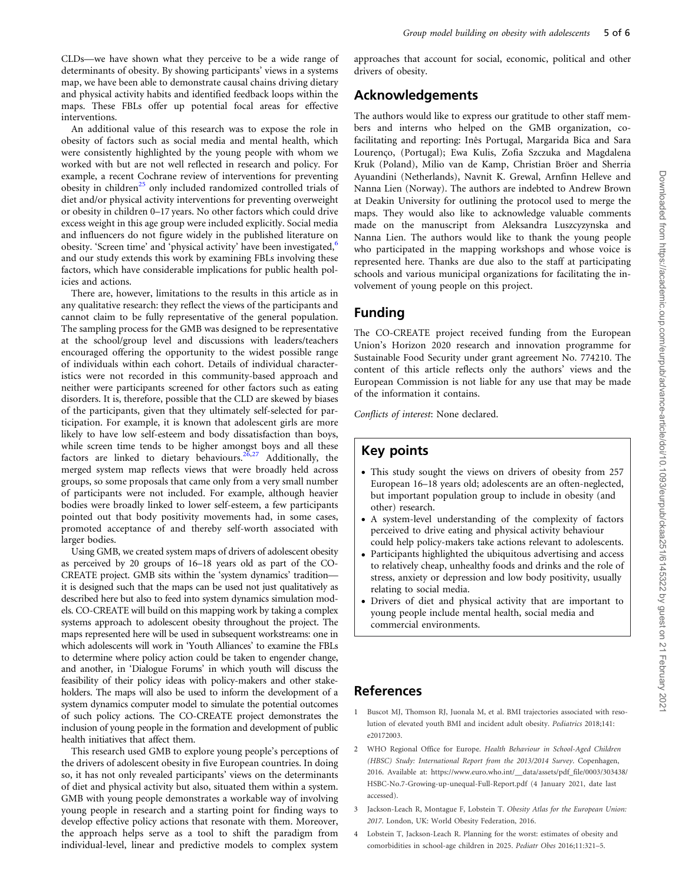<span id="page-4-0"></span>CLDs—we have shown what they perceive to be a wide range of determinants of obesity. By showing participants' views in a systems map, we have been able to demonstrate causal chains driving dietary and physical activity habits and identified feedback loops within the maps. These FBLs offer up potential focal areas for effective interventions.

An additional value of this research was to expose the role in obesity of factors such as social media and mental health, which were consistently highlighted by the young people with whom we worked with but are not well reflected in research and policy. For example, a recent Cochrane review of interventions for preventing obesity in children<sup>[25](#page-5-0)</sup> only included randomized controlled trials of diet and/or physical activity interventions for preventing overweight or obesity in children 0–17 years. No other factors which could drive excess weight in this age group were included explicitly. Social media and influencers do not figure widely in the published literature on obesity. 'Screen time' and 'physical activity' have been investigated,<sup>[6](#page-5-0)</sup> and our study extends this work by examining FBLs involving these factors, which have considerable implications for public health policies and actions.

There are, however, limitations to the results in this article as in any qualitative research: they reflect the views of the participants and cannot claim to be fully representative of the general population. The sampling process for the GMB was designed to be representative at the school/group level and discussions with leaders/teachers encouraged offering the opportunity to the widest possible range of individuals within each cohort. Details of individual characteristics were not recorded in this community-based approach and neither were participants screened for other factors such as eating disorders. It is, therefore, possible that the CLD are skewed by biases of the participants, given that they ultimately self-selected for participation. For example, it is known that adolescent girls are more likely to have low self-esteem and body dissatisfaction than boys, while screen time tends to be higher amongst boys and all these factors are linked to dietary behaviours.<sup>[26,27](#page-5-0)</sup> Additionally, the merged system map reflects views that were broadly held across groups, so some proposals that came only from a very small number of participants were not included. For example, although heavier bodies were broadly linked to lower self-esteem, a few participants pointed out that body positivity movements had, in some cases, promoted acceptance of and thereby self-worth associated with larger bodies.

Using GMB, we created system maps of drivers of adolescent obesity as perceived by 20 groups of 16–18 years old as part of the CO-CREATE project. GMB sits within the 'system dynamics' tradition it is designed such that the maps can be used not just qualitatively as described here but also to feed into system dynamics simulation models. CO-CREATE will build on this mapping work by taking a complex systems approach to adolescent obesity throughout the project. The maps represented here will be used in subsequent workstreams: one in which adolescents will work in 'Youth Alliances' to examine the FBLs to determine where policy action could be taken to engender change, and another, in 'Dialogue Forums' in which youth will discuss the feasibility of their policy ideas with policy-makers and other stakeholders. The maps will also be used to inform the development of a system dynamics computer model to simulate the potential outcomes of such policy actions. The CO-CREATE project demonstrates the inclusion of young people in the formation and development of public health initiatives that affect them.

This research used GMB to explore young people's perceptions of the drivers of adolescent obesity in five European countries. In doing so, it has not only revealed participants' views on the determinants of diet and physical activity but also, situated them within a system. GMB with young people demonstrates a workable way of involving young people in research and a starting point for finding ways to develop effective policy actions that resonate with them. Moreover, the approach helps serve as a tool to shift the paradigm from individual-level, linear and predictive models to complex system

approaches that account for social, economic, political and other drivers of obesity.

# Acknowledgements

The authors would like to express our gratitude to other staff members and interns who helped on the GMB organization, cofacilitating and reporting: Inês Portugal, Margarida Bica and Sara Lourenço, (Portugal); Ewa Kulis, Zofia Szczuka and Magdalena Kruk (Poland), Milio van de Kamp, Christian Bröer and Sherria Ayuandini (Netherlands), Navnit K. Grewal, Arnfinn Helleve and Nanna Lien (Norway). The authors are indebted to Andrew Brown at Deakin University for outlining the protocol used to merge the maps. They would also like to acknowledge valuable comments made on the manuscript from Aleksandra Luszcyzynska and Nanna Lien. The authors would like to thank the young people who participated in the mapping workshops and whose voice is represented here. Thanks are due also to the staff at participating schools and various municipal organizations for facilitating the involvement of young people on this project.

## Funding

The CO-CREATE project received funding from the European Union's Horizon 2020 research and innovation programme for Sustainable Food Security under grant agreement No. 774210. The content of this article reflects only the authors' views and the European Commission is not liable for any use that may be made of the information it contains.

Conflicts of interest: None declared.

## Key points

- This study sought the views on drivers of obesity from 257 European 16–18 years old; adolescents are an often-neglected, but important population group to include in obesity (and other) research.
- A system-level understanding of the complexity of factors perceived to drive eating and physical activity behaviour could help policy-makers take actions relevant to adolescents.
- Participants highlighted the ubiquitous advertising and access to relatively cheap, unhealthy foods and drinks and the role of stress, anxiety or depression and low body positivity, usually relating to social media.
- Drivers of diet and physical activity that are important to young people include mental health, social media and commercial environments.

# References

- [1](#page-0-0) Buscot MJ, Thomson RJ, Juonala M, et al. BMI trajectories associated with resolution of elevated youth BMI and incident adult obesity. Pediatrics 2018;141: e20172003.
- [2](#page-0-0) WHO Regional Office for Europe. Health Behaviour in School-Aged Children (HBSC) Study: International Report from the 2013/2014 Survey. Copenhagen, 2016. Available at: [https://www.euro.who.int/\\_\\_data/assets/pdf\\_file/0003/303438/](https://www.euro.who.int/__data/assets/pdf_file/0003/303438/HSBC-No.7-Growing-up-unequal-Full-Report.pdf) [HSBC-No.7-Growing-up-unequal-Full-Report.pdf](https://www.euro.who.int/__data/assets/pdf_file/0003/303438/HSBC-No.7-Growing-up-unequal-Full-Report.pdf) (4 January 2021, date last accessed).
- [3](#page-0-0) Jackson-Leach R, Montague F, Lobstein T. Obesity Atlas for the European Union: 2017. London, UK: World Obesity Federation, 2016.
- [4](#page-0-0) Lobstein T, Jackson-Leach R. Planning for the worst: estimates of obesity and comorbidities in school-age children in 2025. Pediatr Obes 2016;11:321–5.